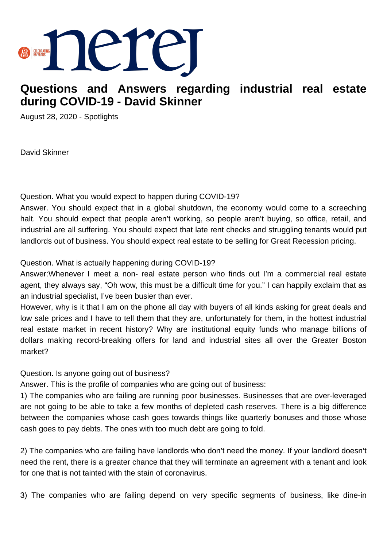

# **Questions and Answers regarding industrial real estate during COVID-19 - David Skinner**

August 28, 2020 - Spotlights

David Skinner

Question. What you would expect to happen during COVID-19?

Answer. You should expect that in a global shutdown, the economy would come to a screeching halt. You should expect that people aren't working, so people aren't buying, so office, retail, and industrial are all suffering. You should expect that late rent checks and struggling tenants would put landlords out of business. You should expect real estate to be selling for Great Recession pricing.

Question. What is actually happening during COVID-19?

Answer:Whenever I meet a non- real estate person who finds out I'm a commercial real estate agent, they always say, "Oh wow, this must be a difficult time for you." I can happily exclaim that as an industrial specialist, I've been busier than ever.

However, why is it that I am on the phone all day with buyers of all kinds asking for great deals and low sale prices and I have to tell them that they are, unfortunately for them, in the hottest industrial real estate market in recent history? Why are institutional equity funds who manage billions of dollars making record-breaking offers for land and industrial sites all over the Greater Boston market?

Question. Is anyone going out of business?

Answer. This is the profile of companies who are going out of business:

1) The companies who are failing are running poor businesses. Businesses that are over-leveraged are not going to be able to take a few months of depleted cash reserves. There is a big difference between the companies whose cash goes towards things like quarterly bonuses and those whose cash goes to pay debts. The ones with too much debt are going to fold.

2) The companies who are failing have landlords who don't need the money. If your landlord doesn't need the rent, there is a greater chance that they will terminate an agreement with a tenant and look for one that is not tainted with the stain of coronavirus.

3) The companies who are failing depend on very specific segments of business, like dine-in